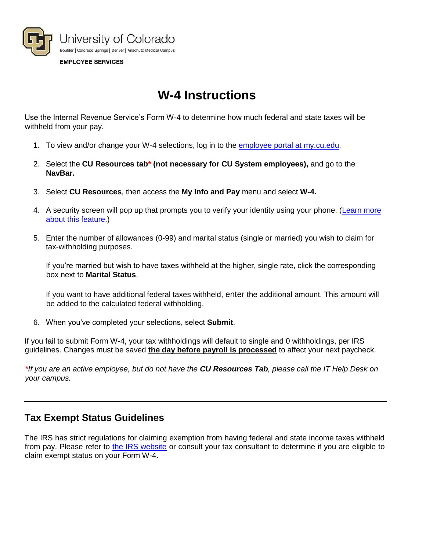

# **W-4 Instructions**

Use the Internal Revenue Service's Form W-4 to determine how much federal and state taxes will be withheld from your pay.

- 1. To view and/or change your W-4 selections, log in to the employee [portal at my.cu.edu.](https://my.cu.edu/)
- 2. Select the **CU Resources tab\* (not necessary for CU System employees),** and go to the **NavBar.**
- 3. Select **CU Resources**, then access the **My Info and Pay** menu and select **W-4.**
- 4. A security screen will pop up that prompts you to verify your identity using your phone. [\(Learn more](http://www.cu.edu/employee-services/it-takes-two-portal-security-strengthened-new-tool)  [about this feature.\)](http://www.cu.edu/employee-services/it-takes-two-portal-security-strengthened-new-tool)
- 5. Enter the number of allowances (0-99) and marital status (single or married) you wish to claim for tax-withholding purposes.

If you're married but wish to have taxes withheld at the higher, single rate, click the corresponding box next to **Marital Status**.

If you want to have additional federal taxes withheld, enter the additional amount. This amount will be added to the calculated federal withholding.

6. When you've completed your selections, select **Submit**.

If you fail to submit Form W-4, your tax withholdings will default to single and 0 withholdings, per IRS guidelines. Changes must be saved **the day before payroll is processed** to affect your next paycheck.

*\*If you are an active employee, but do not have the CU Resources Tab, please call the IT Help Desk on your campus.* 

### **Tax Exempt Status Guidelines**

The IRS has strict regulations for claiming exemption from having federal and state income taxes withheld from pay. Please refer to [the IRS website](https://www.irs.gov/Individuals/Tax-Trails---Can-You-Claim-Exemption-from-Withholding-on-Form-W-4%3F) or consult your tax consultant to determine if you are eligible to claim exempt status on your Form W-4.